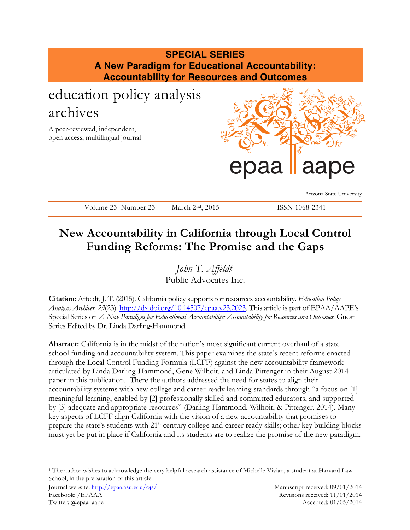# **SPECIAL SERIES A New Paradigm for Educational Accountability: Accountability for Resources and Outcomes** education policy analysis archives A peer-reviewed, independent, open access, multilingual journal Arizona State University Jaa

Volume 23 Number 23 March 2<sup>nd</sup>, 2015 ISSN 1068-2341

# **New Accountability in California through Local Control Funding Reforms: The Promise and the Gaps**

*John T. Affeldt*<sup>1</sup> Public Advocates Inc.

**Citation**: Affeldt, J. T. (2015). California policy supports for resources accountability. *Education Policy Analysis Archives, 23*(23). http://dx.doi.org/10.14507/epaa.v23.2023. This article is part of EPAA/AAPE's Special Series on *A New Paradigm for Educational Accountability: Accountability for Resources and Outcomes*. Guest Series Edited by Dr. Linda Darling-Hammond.

**Abstract:** California is in the midst of the nation's most significant current overhaul of a state school funding and accountability system. This paper examines the state's recent reforms enacted through the Local Control Funding Formula (LCFF) against the new accountability framework articulated by Linda Darling-Hammond, Gene Wilhoit, and Linda Pittenger in their August 2014 paper in this publication. There the authors addressed the need for states to align their accountability systems with new college and career-ready learning standards through "a focus on [1] meaningful learning, enabled by [2] professionally skilled and committed educators, and supported by [3] adequate and appropriate resources" (Darling-Hammond, Wilhoit, & Pittenger, 2014). Many key aspects of LCFF align California with the vision of a new accountability that promises to prepare the state's students with 21<sup>st</sup> century college and career ready skills; other key building blocks must yet be put in place if California and its students are to realize the promise of the new paradigm.

<sup>&</sup>lt;sup>1</sup> The author wishes to acknowledge the very helpful research assistance of Michelle Vivian, a student at Harvard Law School, in the preparation of this article.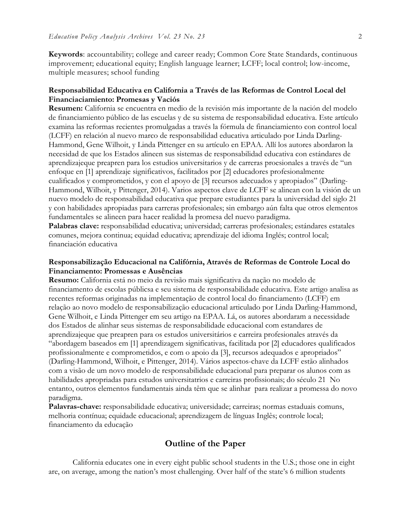**Keywords**: accountability; college and career ready; Common Core State Standards, continuous improvement; educational equity; English language learner; LCFF; local control; low-income, multiple measures; school funding

## **Responsabilidad Educativa en California a Través de las Reformas de Control Local del Financiaciamiento: Promesas y Vaciós**

**Resumen:** California se encuentra en medio de la revisión más importante de la nación del modelo de financiamiento público de las escuelas y de su sistema de responsabilidad educativa. Este artículo examina las reformas recientes promulgadas a través la fórmula de financiamiento con control local (LCFF) en relación al nuevo marco de responsabilidad educativa articulado por Linda Darling-Hammond, Gene Wilhoit, y Linda Pittenger en su artículo en EPAA. Allí los autores abordaron la necesidad de que los Estados alineen sus sistemas de responsabilidad educativa con estándares de aprendizajeque preapren para los estudios universitarios y de carreras proesionales a través de "un enfoque en [1] aprendizaje significativos, facilitados por [2] educadores profesionalmente cualificados y comprometidos, y con el apoyo de [3] recursos adecuados y apropiados" (Darling-Hammond, Wilhoit, y Pittenger, 2014). Varios aspectos clave de LCFF se alinean con la visión de un nuevo modelo de responsabilidad educativa que prepare estudiantes para la universidad del siglo 21 y con habilidades apropiadas para carreras profesionales; sin embargo aún falta que otros elementos fundamentales se alineen para hacer realidad la promesa del nuevo paradigma.

**Palabras clave:** responsabilidad educativa; universidad; carreras profesionales; estándares estatales comunes, mejora continua; equidad educativa; aprendizaje del idioma Inglés; control local; financiación educativa

## **Responsabilização Educacional na Califórnia, Através de Reformas de Controle Local do Financiamento: Promessas e Ausências**

**Resumo:** California está no meio da revisão mais significativa da nação no modelo de financiamento de escolas públicsa e seu sistema de responsabilidade educativa. Este artigo analisa as recentes reformas originadas na implementação de control local do financiamento (LCFF) em relação ao novo modelo de responsabilização educacional articulado por Linda Darling-Hammond, Gene Wilhoit, e Linda Pittenger em seu artigo na EPAA. Lá, os autores abordaram a necessidade dos Estados de alinhar seus sistemas de responsabilidade educacional com estandares de aprendizajeque que preapren para os estudos universitários e carreira profesionales através da "abordagem baseados em [1] aprendizagem significativas, facilitada por [2] educadores qualificados profissionalmente e comprometidos, e com o apoio da [3], recursos adequados e apropriados" (Darling-Hammond, Wilhoit, e Pittenger, 2014). Vários aspectos-chave da LCFF estão alinhados com a visão de um novo modelo de responsabilidade educacional para preparar os alunos com as habilidades apropriadas para estudos universitatrios e carreiras profissionais; do século 21 No entanto, outros elementos fundamentais ainda têm que se alinhar para realizar a promessa do novo paradigma.

**Palavras-chave:** responsabilidade educativa; universidade; carreiras; normas estaduais comuns, melhoria contínua; equidade educacional; aprendizagem de línguas Inglês; controle local; financiamento da educação

## **Outline of the Paper**

California educates one in every eight public school students in the U.S.; those one in eight are, on average, among the nation's most challenging. Over half of the state's 6 million students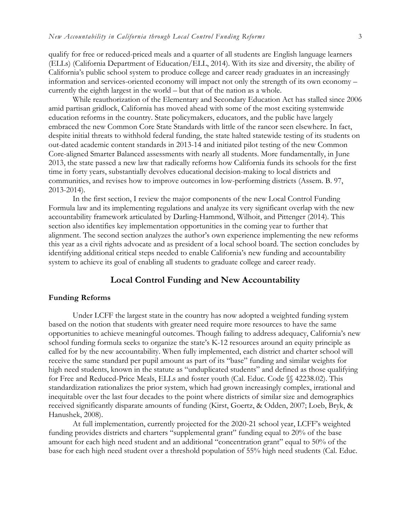qualify for free or reduced-priced meals and a quarter of all students are English language learners (ELLs) (California Department of Education/ELL, 2014). With its size and diversity, the ability of California's public school system to produce college and career ready graduates in an increasingly information and services-oriented economy will impact not only the strength of its own economy – currently the eighth largest in the world – but that of the nation as a whole.

While reauthorization of the Elementary and Secondary Education Act has stalled since 2006 amid partisan gridlock, California has moved ahead with some of the most exciting systemwide education reforms in the country. State policymakers, educators, and the public have largely embraced the new Common Core State Standards with little of the rancor seen elsewhere. In fact, despite initial threats to withhold federal funding, the state halted statewide testing of its students on out-dated academic content standards in 2013-14 and initiated pilot testing of the new Common Core-aligned Smarter Balanced assessments with nearly all students. More fundamentally, in June 2013, the state passed a new law that radically reforms how California funds its schools for the first time in forty years, substantially devolves educational decision-making to local districts and communities, and revises how to improve outcomes in low-performing districts (Assem. B. 97, 2013-2014).

In the first section, I review the major components of the new Local Control Funding Formula law and its implementing regulations and analyze its very significant overlap with the new accountability framework articulated by Darling-Hammond, Wilhoit, and Pittenger (2014). This section also identifies key implementation opportunities in the coming year to further that alignment. The second section analyzes the author's own experience implementing the new reforms this year as a civil rights advocate and as president of a local school board. The section concludes by identifying additional critical steps needed to enable California's new funding and accountability system to achieve its goal of enabling all students to graduate college and career ready.

## **Local Control Funding and New Accountability**

## **Funding Reforms**

Under LCFF the largest state in the country has now adopted a weighted funding system based on the notion that students with greater need require more resources to have the same opportunities to achieve meaningful outcomes. Though failing to address adequacy, California's new school funding formula seeks to organize the state's K-12 resources around an equity principle as called for by the new accountability. When fully implemented, each district and charter school will receive the same standard per pupil amount as part of its "base" funding and similar weights for high need students, known in the statute as "unduplicated students" and defined as those qualifying for Free and Reduced-Price Meals, ELLs and foster youth (Cal. Educ. Code §§ 42238.02). This standardization rationalizes the prior system, which had grown increasingly complex, irrational and inequitable over the last four decades to the point where districts of similar size and demographics received significantly disparate amounts of funding (Kirst, Goertz, & Odden, 2007; Loeb, Bryk, & Hanushek, 2008).

At full implementation, currently projected for the 2020-21 school year, LCFF's weighted funding provides districts and charters "supplemental grant" funding equal to 20% of the base amount for each high need student and an additional "concentration grant" equal to 50% of the base for each high need student over a threshold population of 55% high need students (Cal. Educ.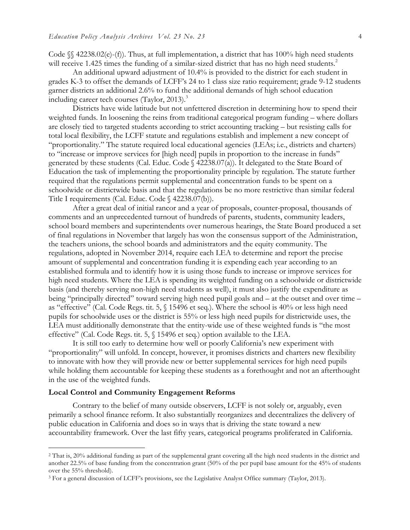Code  $\mathcal{S}$  42238.02(e)-(f)). Thus, at full implementation, a district that has 100% high need students will receive 1.425 times the funding of a similar-sized district that has no high need students.<sup>2</sup>

An additional upward adjustment of 10.4% is provided to the district for each student in grades K-3 to offset the demands of LCFF's 24 to 1 class size ratio requirement; grade 9-12 students garner districts an additional 2.6% to fund the additional demands of high school education including career tech courses (Taylor, 2013).<sup>3</sup>

Districts have wide latitude but not unfettered discretion in determining how to spend their weighted funds. In loosening the reins from traditional categorical program funding – where dollars are closely tied to targeted students according to strict accounting tracking – but resisting calls for total local flexibility, the LCFF statute and regulations establish and implement a new concept of "proportionality." The statute required local educational agencies (LEAs; i.e., districts and charters) to "increase or improve services for [high need] pupils in proportion to the increase in funds" generated by these students (Cal. Educ. Code § 42238.07(a)). It delegated to the State Board of Education the task of implementing the proportionality principle by regulation. The statute further required that the regulations permit supplemental and concentration funds to be spent on a schoolwide or districtwide basis and that the regulations be no more restrictive than similar federal Title I requirements (Cal. Educ. Code § 42238.07(b)).

After a great deal of initial rancor and a year of proposals, counter-proposal, thousands of comments and an unprecedented turnout of hundreds of parents, students, community leaders, school board members and superintendents over numerous hearings, the State Board produced a set of final regulations in November that largely has won the consensus support of the Administration, the teachers unions, the school boards and administrators and the equity community. The regulations, adopted in November 2014, require each LEA to determine and report the precise amount of supplemental and concentration funding it is expending each year according to an established formula and to identify how it is using those funds to increase or improve services for high need students. Where the LEA is spending its weighted funding on a schoolwide or districtwide basis (and thereby serving non-high need students as well), it must also justify the expenditure as being "principally directed" toward serving high need pupil goals and – at the outset and over time – as "effective" (Cal. Code Regs. tit. 5, § 15496 et seq*.*). Where the school is 40% or less high need pupils for schoolwide uses or the district is 55% or less high need pupils for districtwide uses, the LEA must additionally demonstrate that the entity-wide use of these weighted funds is "the most effective" (Cal. Code Regs. tit. 5, § 15496 et seq*.*) option available to the LEA.

It is still too early to determine how well or poorly California's new experiment with "proportionality" will unfold. In concept, however, it promises districts and charters new flexibility to innovate with how they will provide new or better supplemental services for high need pupils while holding them accountable for keeping these students as a forethought and not an afterthought in the use of the weighted funds.

## **Local Control and Community Engagement Reforms**

Contrary to the belief of many outside observers, LCFF is not solely or, arguably, even primarily a school finance reform. It also substantially reorganizes and decentralizes the delivery of public education in California and does so in ways that is driving the state toward a new accountability framework. Over the last fifty years, categorical programs proliferated in California.

 <sup>2</sup> That is, 20% additional funding as part of the supplemental grant covering all the high need students in the district and another 22.5% of base funding from the concentration grant (50% of the per pupil base amount for the 45% of students over the 55% threshold).<br><sup>3</sup> For a general discussion of LCFF's provisions, see the Legislative Analyst Office summary (Taylor, 2013).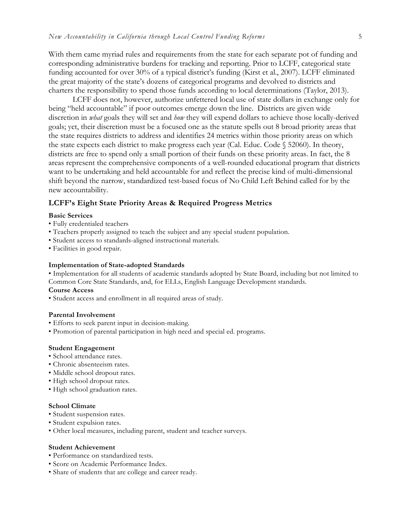With them came myriad rules and requirements from the state for each separate pot of funding and corresponding administrative burdens for tracking and reporting. Prior to LCFF, categorical state funding accounted for over 30% of a typical district's funding (Kirst et al., 2007). LCFF eliminated the great majority of the state's dozens of categorical programs and devolved to districts and charters the responsibility to spend those funds according to local determinations (Taylor, 2013).

LCFF does not, however, authorize unfettered local use of state dollars in exchange only for being "held accountable" if poor outcomes emerge down the line. Districts are given wide discretion in *what* goals they will set and *how* they will expend dollars to achieve those locally-derived goals; yet, their discretion must be a focused one as the statute spells out 8 broad priority areas that the state requires districts to address and identifies 24 metrics within those priority areas on which the state expects each district to make progress each year (Cal. Educ. Code § 52060). In theory, districts are free to spend only a small portion of their funds on these priority areas. In fact, the 8 areas represent the comprehensive components of a well-rounded educational program that districts want to be undertaking and held accountable for and reflect the precise kind of multi-dimensional shift beyond the narrow, standardized test-based focus of No Child Left Behind called for by the new accountability.

## **LCFF's Eight State Priority Areas & Required Progress Metrics**

#### **Basic Services**

- Fully credentialed teachers
- Teachers properly assigned to teach the subject and any special student population.
- Student access to standards-aligned instructional materials.
- Facilities in good repair.

#### **Implementation of State-adopted Standards**

• Implementation for all students of academic standards adopted by State Board, including but not limited to Common Core State Standards, and, for ELLs, English Language Development standards.

### **Course Access**

• Student access and enrollment in all required areas of study.

### **Parental Involvement**

- Efforts to seek parent input in decision-making.
- Promotion of parental participation in high need and special ed. programs.

#### **Student Engagement**

- School attendance rates.
- Chronic absenteeism rates.
- Middle school dropout rates.
- High school dropout rates.
- High school graduation rates.

#### **School Climate**

- Student suspension rates.
- Student expulsion rates.
- Other local measures, including parent, student and teacher surveys.

#### **Student Achievement**

- Performance on standardized tests.
- Score on Academic Performance Index.
- Share of students that are college and career ready.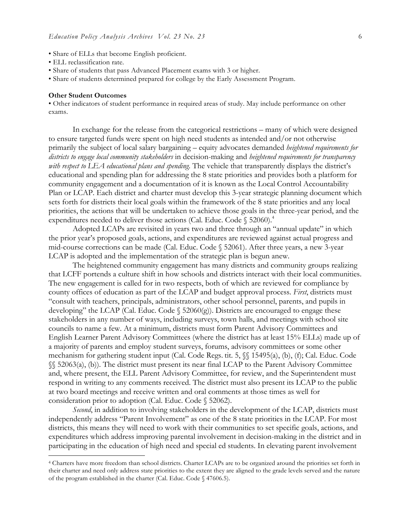- Share of ELLs that become English proficient.
- ELL reclassification rate.
- Share of students that pass Advanced Placement exams with 3 or higher.
- Share of students determined prepared for college by the Early Assessment Program.

### **Other Student Outcomes**

• Other indicators of student performance in required areas of study. May include performance on other exams.

In exchange for the release from the categorical restrictions – many of which were designed to ensure targeted funds were spent on high need students as intended and/or not otherwise primarily the subject of local salary bargaining – equity advocates demanded *heightened requirements for districts to engage local community stakeholders* in decision-making and *heightened requirements for transparency with respect to LEA educational plans and spending*. The vehicle that transparently displays the district's educational and spending plan for addressing the 8 state priorities and provides both a platform for community engagement and a documentation of it is known as the Local Control Accountability Plan or LCAP. Each district and charter must develop this 3-year strategic planning document which sets forth for districts their local goals within the framework of the 8 state priorities and any local priorities, the actions that will be undertaken to achieve those goals in the three-year period, and the expenditures needed to deliver those actions (Cal. Educ. Code § 52060).<sup>4</sup>

Adopted LCAPs are revisited in years two and three through an "annual update" in which the prior year's proposed goals, actions, and expenditures are reviewed against actual progress and mid-course corrections can be made (Cal. Educ. Code § 52061). After three years, a new 3-year LCAP is adopted and the implementation of the strategic plan is begun anew.

The heightened community engagement has many districts and community groups realizing that LCFF portends a culture shift in how schools and districts interact with their local communities. The new engagement is called for in two respects, both of which are reviewed for compliance by county offices of education as part of the LCAP and budget approval process. *First*, districts must "consult with teachers, principals, administrators, other school personnel, parents, and pupils in developing" the LCAP (Cal. Educ. Code  $\S$  52060(g)). Districts are encouraged to engage these stakeholders in any number of ways, including surveys, town halls, and meetings with school site councils to name a few. At a minimum, districts must form Parent Advisory Committees and English Learner Parent Advisory Committees (where the district has at least 15% ELLs) made up of a majority of parents and employ student surveys, forums, advisory committees or some other mechanism for gathering student input (Cal. Code Regs. tit. 5, §§ 15495(a), (b), (f); Cal. Educ. Code §§ 52063(a), (b)). The district must present its near final LCAP to the Parent Advisory Committee and, where present, the ELL Parent Advisory Committee, for review, and the Superintendent must respond in writing to any comments received. The district must also present its LCAP to the public at two board meetings and receive written and oral comments at those times as well for consideration prior to adoption (Cal. Educ. Code § 52062).

*Second*, in addition to involving stakeholders in the development of the LCAP, districts must independently address "Parent Involvement" as one of the 8 state priorities in the LCAP. For most districts, this means they will need to work with their communities to set specific goals, actions, and expenditures which address improving parental involvement in decision-making in the district and in participating in the education of high need and special ed students. In elevating parent involvement

 <sup>4</sup> Charters have more freedom than school districts. Charter LCAPs are to be organized around the priorities set forth in their charter and need only address state priorities to the extent they are aligned to the grade levels served and the nature of the program established in the charter (Cal. Educ. Code § 47606.5).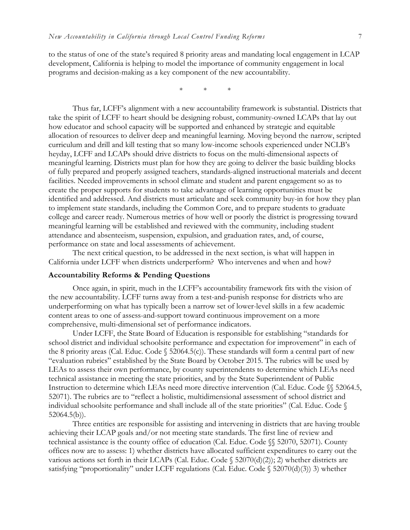to the status of one of the state's required 8 priority areas and mandating local engagement in LCAP development, California is helping to model the importance of community engagement in local programs and decision-making as a key component of the new accountability.

\* \* \*

Thus far, LCFF's alignment with a new accountability framework is substantial. Districts that take the spirit of LCFF to heart should be designing robust, community-owned LCAPs that lay out how educator and school capacity will be supported and enhanced by strategic and equitable allocation of resources to deliver deep and meaningful learning. Moving beyond the narrow, scripted curriculum and drill and kill testing that so many low-income schools experienced under NCLB's heyday, LCFF and LCAPs should drive districts to focus on the multi-dimensional aspects of meaningful learning. Districts must plan for how they are going to deliver the basic building blocks of fully prepared and properly assigned teachers, standards-aligned instructional materials and decent facilities. Needed improvements in school climate and student and parent engagement so as to create the proper supports for students to take advantage of learning opportunities must be identified and addressed. And districts must articulate and seek community buy-in for how they plan to implement state standards, including the Common Core, and to prepare students to graduate college and career ready. Numerous metrics of how well or poorly the district is progressing toward meaningful learning will be established and reviewed with the community, including student attendance and absenteeism, suspension, expulsion, and graduation rates, and, of course, performance on state and local assessments of achievement.

The next critical question, to be addressed in the next section, is what will happen in California under LCFF when districts underperform? Who intervenes and when and how?

## **Accountability Reforms & Pending Questions**

Once again, in spirit, much in the LCFF's accountability framework fits with the vision of the new accountability. LCFF turns away from a test-and-punish response for districts who are underperforming on what has typically been a narrow set of lower-level skills in a few academic content areas to one of assess-and-support toward continuous improvement on a more comprehensive, multi-dimensional set of performance indicators.

Under LCFF, the State Board of Education is responsible for establishing "standards for school district and individual schoolsite performance and expectation for improvement" in each of the 8 priority areas (Cal. Educ. Code  $\S$  52064.5(c)). These standards will form a central part of new "evaluation rubrics" established by the State Board by October 2015. The rubrics will be used by LEAs to assess their own performance, by county superintendents to determine which LEAs need technical assistance in meeting the state priorities, and by the State Superintendent of Public Instruction to determine which LEAs need more directive intervention (Cal. Educ. Code §§ 52064.5, 52071). The rubrics are to "reflect a holistic, multidimensional assessment of school district and individual schoolsite performance and shall include all of the state priorities" (Cal. Educ. Code § 52064.5(b)).

Three entities are responsible for assisting and intervening in districts that are having trouble achieving their LCAP goals and/or not meeting state standards. The first line of review and technical assistance is the county office of education (Cal. Educ. Code §§ 52070, 52071). County offices now are to assess: 1) whether districts have allocated sufficient expenditures to carry out the various actions set forth in their LCAPs (Cal. Educ. Code § 52070(d)(2)); 2) whether districts are satisfying "proportionality" under LCFF regulations (Cal. Educ. Code § 52070(d)(3)) 3) whether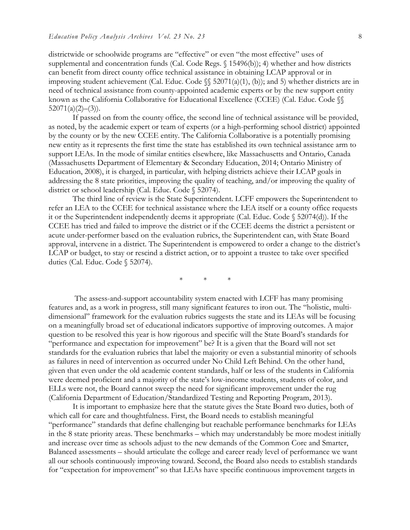districtwide or schoolwide programs are "effective" or even "the most effective" uses of supplemental and concentration funds (Cal. Code Regs. § 15496(b)); 4) whether and how districts can benefit from direct county office technical assistance in obtaining LCAP approval or in improving student achievement (Cal. Educ. Code §§ 52071(a)(1), (b)); and 5) whether districts are in need of technical assistance from county-appointed academic experts or by the new support entity known as the California Collaborative for Educational Excellence (CCEE) (Cal. Educ. Code  $\mathcal{S}$  $52071(a)(2)–(3)$ ).

If passed on from the county office, the second line of technical assistance will be provided, as noted, by the academic expert or team of experts (or a high-performing school district) appointed by the county or by the new CCEE entity. The California Collaborative is a potentially promising new entity as it represents the first time the state has established its own technical assistance arm to support LEAs. In the mode of similar entities elsewhere, like Massachusetts and Ontario, Canada (Massachusetts Department of Elementary & Secondary Education, 2014; Ontario Ministry of Education, 2008), it is charged, in particular, with helping districts achieve their LCAP goals in addressing the 8 state priorities, improving the quality of teaching, and/or improving the quality of district or school leadership (Cal. Educ. Code § 52074).

The third line of review is the State Superintendent. LCFF empowers the Superintendent to refer an LEA to the CCEE for technical assistance where the LEA itself or a county office requests it or the Superintendent independently deems it appropriate (Cal. Educ. Code § 52074(d)). If the CCEE has tried and failed to improve the district or if the CCEE deems the district a persistent or acute under-performer based on the evaluation rubrics, the Superintendent can, with State Board approval, intervene in a district. The Superintendent is empowered to order a change to the district's LCAP or budget, to stay or rescind a district action, or to appoint a trustee to take over specified duties (Cal. Educ. Code § 52074).

\* \* \*

The assess-and-support accountability system enacted with LCFF has many promising features and, as a work in progress, still many significant features to iron out. The "holistic, multidimensional" framework for the evaluation rubrics suggests the state and its LEAs will be focusing on a meaningfully broad set of educational indicators supportive of improving outcomes. A major question to be resolved this year is how rigorous and specific will the State Board's standards for "performance and expectation for improvement" be? It is a given that the Board will not set standards for the evaluation rubrics that label the majority or even a substantial minority of schools as failures in need of intervention as occurred under No Child Left Behind. On the other hand, given that even under the old academic content standards, half or less of the students in California were deemed proficient and a majority of the state's low-income students, students of color, and ELLs were not, the Board cannot sweep the need for significant improvement under the rug (California Department of Education/Standardized Testing and Reporting Program, 2013).

It is important to emphasize here that the statute gives the State Board two duties, both of which call for care and thoughtfulness. First, the Board needs to establish meaningful "performance" standards that define challenging but reachable performance benchmarks for LEAs in the 8 state priority areas. These benchmarks – which may understandably be more modest initially and increase over time as schools adjust to the new demands of the Common Core and Smarter, Balanced assessments – should articulate the college and career ready level of performance we want all our schools continuously improving toward. Second, the Board also needs to establish standards for "expectation for improvement" so that LEAs have specific continuous improvement targets in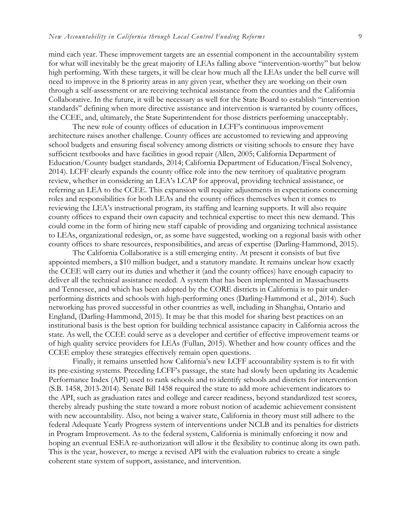mind each year. These improvement targets are an essential component in the accountability system for what will inevitably be the great majority of LEAs falling above "intervention-worthy" but below high performing. With these targets, it will be clear how much all the LEAs under the bell curve will need to improve in the 8 priority areas in any given year, whether they are working on their own through a self-assessment or are receiving technical assistance from the counties and the California Collaborative. In the future, it will be necessary as well for the State Board to establish "intervention standards" defining when more directive assistance and intervention is warranted by county offices, the CCEE, and, ultimately, the State Superintendent for those districts performing unacceptably.

The new role of county offices of education in LCFF's continuous improvement architecture raises another challenge. County offices are accustomed to reviewing and approving school budgets and ensuring fiscal solvency among districts or visiting schools to ensure they have sufficient textbooks and have facilities in good repair (Allen, 2005; California Department of Education/County budget standards, 2014; California Department of Education/Fiscal Solvency, 2014). LCFF clearly expands the county office role into the new territory of qualitative program review, whether in considering an LEA's LCAP for approval, providing technical assistance, or referring an LEA to the CCEE. This expansion will require adjustments in expectations concerning roles and responsibilities for both LEAs and the county offices themselves when it comes to reviewing the LEA's instructional program, its staffing and learning supports. It will also require county offices to expand their own capacity and technical expertise to meet this new demand. This could come in the form of hiring new staff capable of providing and organizing technical assistance to LEAs, organizational redesign, or, as some have suggested, working on a regional basis with other county offices to share resources, responsibilities, and areas of expertise (Darling-Hammond, 2015).

The California Collaborative is a still emerging entity. At present it consists of but five appointed members, a \$10 million budget, and a statutory mandate. It remains unclear how exactly the CCEE will carry out its duties and whether it (and the county offices) have enough capacity to deliver all the technical assistance needed. A system that has been implemented in Massachusetts and Tennessee, and which has been adopted by the CORE districts in California is to pair underperforming districts and schools with high-performing ones (Darling-Hammond et al., 2014). Such networking has proved successful in other countries as well, including in Shanghai, Ontario and England, (Darling-Hammond, 2015). It may be that this model for sharing best practices on an institutional basis is the best option for building technical assistance capacity in California across the state. As well, the CCEE could serve as a developer and certifier of effective improvement teams or of high quality service providers for LEAs (Fullan, 2015). Whether and how county offices and the CCEE employ these strategies effectively remain open questions.

Finally, it remains unsettled how California's new LCFF accountability system is to fit with its pre-existing systems. Preceding LCFF's passage, the state had slowly been updating its Academic Performance Index (API) used to rank schools and to identify schools and districts for intervention (S.B. 1458, 2013-2014). Senate Bill 1458 required the state to add more achievement indicators to the API, such as graduation rates and college and career readiness, beyond standardized test scores, thereby already pushing the state toward a more robust notion of academic achievement consistent with new accountability. Also, not being a waiver state, California in theory must still adhere to the federal Adequate Yearly Progress system of interventions under NCLB and its penalties for districts in Program Improvement. As to the federal system, California is minimally enforcing it now and hoping an eventual ESEA re-authorization will allow it the flexibility to continue along its own path. This is the year, however, to merge a revised API with the evaluation rubrics to create a single coherent state system of support, assistance, and intervention.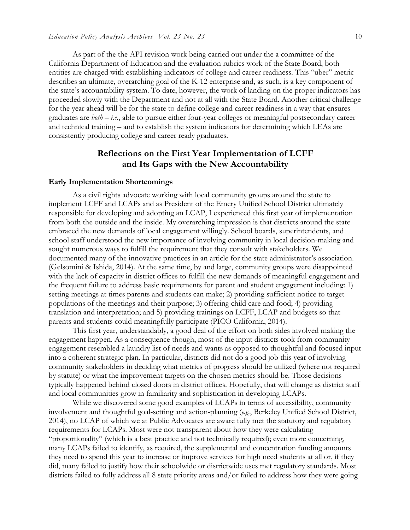As part of the the API revision work being carried out under the a committee of the California Department of Education and the evaluation rubrics work of the State Board, both entities are charged with establishing indicators of college and career readiness. This "uber" metric describes an ultimate, overarching goal of the K-12 enterprise and, as such, is a key component of the state's accountability system. To date, however, the work of landing on the proper indicators has proceeded slowly with the Department and not at all with the State Board. Another critical challenge for the year ahead will be for the state to define college and career readiness in a way that ensures graduates are *both* – *i.e.*, able to pursue either four-year colleges or meaningful postsecondary career and technical training – and to establish the system indicators for determining which LEAs are consistently producing college and career ready graduates.

# **Reflections on the First Year Implementation of LCFF and Its Gaps with the New Accountability**

### **Early Implementation Shortcomings**

As a civil rights advocate working with local community groups around the state to implement LCFF and LCAPs and as President of the Emery Unified School District ultimately responsible for developing and adopting an LCAP, I experienced this first year of implementation from both the outside and the inside. My overarching impression is that districts around the state embraced the new demands of local engagement willingly. School boards, superintendents, and school staff understood the new importance of involving community in local decision-making and sought numerous ways to fulfill the requirement that they consult with stakeholders. We documented many of the innovative practices in an article for the state administrator's association. (Gelsomini & Ishida, 2014). At the same time, by and large, community groups were disappointed with the lack of capacity in district offices to fulfill the new demands of meaningful engagement and the frequent failure to address basic requirements for parent and student engagement including: 1) setting meetings at times parents and students can make; 2) providing sufficient notice to target populations of the meetings and their purpose; 3) offering child care and food; 4) providing translation and interpretation; and 5) providing trainings on LCFF, LCAP and budgets so that parents and students could meaningfully participate (PICO California, 2014).

This first year, understandably, a good deal of the effort on both sides involved making the engagement happen. As a consequence though, most of the input districts took from community engagement resembled a laundry list of needs and wants as opposed to thoughtful and focused input into a coherent strategic plan. In particular, districts did not do a good job this year of involving community stakeholders in deciding what metrics of progress should be utilized (where not required by statute) or what the improvement targets on the chosen metrics should be. Those decisions typically happened behind closed doors in district offices. Hopefully, that will change as district staff and local communities grow in familiarity and sophistication in developing LCAPs.

While we discovered some good examples of LCAPs in terms of accessibility, community involvement and thoughtful goal-setting and action-planning (*e.g.*, Berkeley Unified School District, 2014), no LCAP of which we at Public Advocates are aware fully met the statutory and regulatory requirements for LCAPs. Most were not transparent about how they were calculating "proportionality" (which is a best practice and not technically required); even more concerning, many LCAPs failed to identify, as required, the supplemental and concentration funding amounts they need to spend this year to increase or improve services for high need students at all or, if they did, many failed to justify how their schoolwide or districtwide uses met regulatory standards. Most districts failed to fully address all 8 state priority areas and/or failed to address how they were going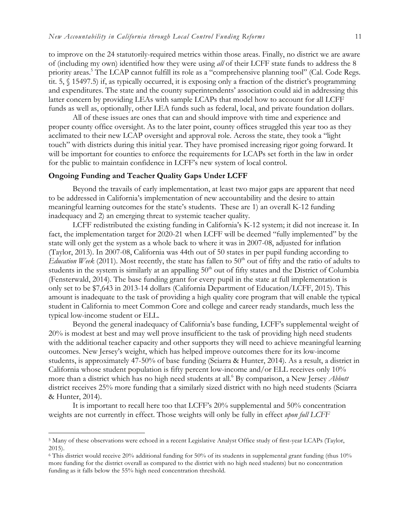to improve on the 24 statutorily-required metrics within those areas. Finally, no district we are aware of (including my own) identified how they were using *all* of their LCFF state funds to address the 8 priority areas.<sup>5</sup> The LCAP cannot fulfill its role as a "comprehensive planning tool" (Cal. Code Regs. tit. 5, § 15497.5) if, as typically occurred, it is exposing only a fraction of the district's programming and expenditures. The state and the county superintendents' association could aid in addressing this latter concern by providing LEAs with sample LCAPs that model how to account for all LCFF funds as well as, optionally, other LEA funds such as federal, local, and private foundation dollars.

All of these issues are ones that can and should improve with time and experience and proper county office oversight. As to the later point, county offices struggled this year too as they acclimated to their new LCAP oversight and approval role. Across the state, they took a "light touch" with districts during this initial year. They have promised increasing rigor going forward. It will be important for counties to enforce the requirements for LCAPs set forth in the law in order for the public to maintain confidence in LCFF's new system of local control.

## **Ongoing Funding and Teacher Quality Gaps Under LCFF**

Beyond the travails of early implementation, at least two major gaps are apparent that need to be addressed in California's implementation of new accountability and the desire to attain meaningful learning outcomes for the state's students. These are 1) an overall K-12 funding inadequacy and 2) an emerging threat to systemic teacher quality.

LCFF redistributed the existing funding in California's K-12 system; it did not increase it. In fact, the implementation target for 2020-21 when LCFF will be deemed "fully implemented" by the state will only get the system as a whole back to where it was in 2007-08, adjusted for inflation (Taylor, 2013). In 2007-08, California was 44th out of 50 states in per pupil funding according to *Education Week* (2011). Most recently, the state has fallen to  $50<sup>th</sup>$  out of fifty and the ratio of adults to students in the system is similarly at an appalling 50<sup>th</sup> out of fifty states and the District of Columbia (Fensterwald, 2014). The base funding grant for every pupil in the state at full implementation is only set to be \$7,643 in 2013-14 dollars (California Department of Education/LCFF, 2015). This amount is inadequate to the task of providing a high quality core program that will enable the typical student in California to meet Common Core and college and career ready standards, much less the typical low-income student or ELL.

Beyond the general inadequacy of California's base funding, LCFF's supplemental weight of 20% is modest at best and may well prove insufficient to the task of providing high need students with the additional teacher capacity and other supports they will need to achieve meaningful learning outcomes. New Jersey's weight, which has helped improve outcomes there for its low-income students, is approximately 47-50% of base funding (Sciarra & Hunter, 2014). As a result, a district in California whose student population is fifty percent low-income and/or ELL receives only 10% more than a district which has no high need students at all.6 By comparison, a New Jersey *Abbott* district receives 25% more funding that a similarly sized district with no high need students (Sciarra & Hunter, 2014).

It is important to recall here too that LCFF's 20% supplemental and 50% concentration weights are not currently in effect. Those weights will only be fully in effect *upon full LCFF* 

 <sup>5</sup> Many of these observations were echoed in a recent Legislative Analyst Office study of first-year LCAPs (Taylor, 2015).

<sup>6</sup> This district would receive 20% additional funding for 50% of its students in supplemental grant funding (thus 10% more funding for the district overall as compared to the district with no high need students) but no concentration funding as it falls below the 55% high need concentration threshold.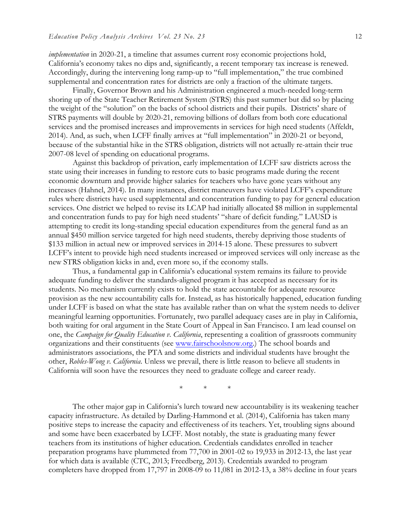*implementation* in 2020-21, a timeline that assumes current rosy economic projections hold, California's economy takes no dips and, significantly, a recent temporary tax increase is renewed. Accordingly, during the intervening long ramp-up to "full implementation," the true combined supplemental and concentration rates for districts are only a fraction of the ultimate targets.

Finally, Governor Brown and his Administration engineered a much-needed long-term shoring up of the State Teacher Retirement System (STRS) this past summer but did so by placing the weight of the "solution" on the backs of school districts and their pupils. Districts' share of STRS payments will double by 2020-21, removing billions of dollars from both core educational services and the promised increases and improvements in services for high need students (Affeldt, 2014). And, as such, when LCFF finally arrives at "full implementation" in 2020-21 or beyond, because of the substantial hike in the STRS obligation, districts will not actually re-attain their true 2007-08 level of spending on educational programs.

Against this backdrop of privation, early implementation of LCFF saw districts across the state using their increases in funding to restore cuts to basic programs made during the recent economic downturn and provide higher salaries for teachers who have gone years without any increases (Hahnel, 2014). In many instances, district maneuvers have violated LCFF's expenditure rules where districts have used supplemental and concentration funding to pay for general education services. One district we helped to revise its LCAP had initially allocated \$8 million in supplemental and concentration funds to pay for high need students' "share of deficit funding." LAUSD is attempting to credit its long-standing special education expenditures from the general fund as an annual \$450 million service targeted for high need students, thereby depriving those students of \$133 million in actual new or improved services in 2014-15 alone. These pressures to subvert LCFF's intent to provide high need students increased or improved services will only increase as the new STRS obligation kicks in and, even more so, if the economy stalls.

Thus, a fundamental gap in California's educational system remains its failure to provide adequate funding to deliver the standards-aligned program it has accepted as necessary for its students. No mechanism currently exists to hold the state accountable for adequate resource provision as the new accountability calls for. Instead, as has historically happened, education funding under LCFF is based on what the state has available rather than on what the system needs to deliver meaningful learning opportunities. Fortunately, two parallel adequacy cases are in play in California, both waiting for oral argument in the State Court of Appeal in San Francisco. I am lead counsel on one, the *Campaign for Quality Education v. California*, representing a coalition of grassroots community organizations and their constituents (see www.fairschoolsnow.org.) The school boards and administrators associations, the PTA and some districts and individual students have brought the other, *Robles-Wong v. California*. Unless we prevail, there is little reason to believe all students in California will soon have the resources they need to graduate college and career ready.

\* \* \*

The other major gap in California's lurch toward new accountability is its weakening teacher capacity infrastructure. As detailed by Darling-Hammond et al. (2014), California has taken many positive steps to increase the capacity and effectiveness of its teachers. Yet, troubling signs abound and some have been exacerbated by LCFF. Most notably, the state is graduating many fewer teachers from its institutions of higher education. Credentials candidates enrolled in teacher preparation programs have plummeted from 77,700 in 2001-02 to 19,933 in 2012-13, the last year for which data is available (CTC, 2013; Freedberg, 2013). Credentials awarded to program completers have dropped from 17,797 in 2008-09 to 11,081 in 2012-13, a 38% decline in four years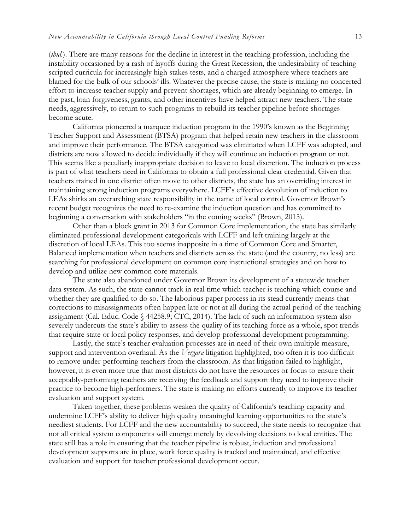(*ibid.*). There are many reasons for the decline in interest in the teaching profession, including the instability occasioned by a rash of layoffs during the Great Recession, the undesirability of teaching scripted curricula for increasingly high stakes tests, and a charged atmosphere where teachers are blamed for the bulk of our schools' ills. Whatever the precise cause, the state is making no concerted effort to increase teacher supply and prevent shortages, which are already beginning to emerge. In the past, loan forgiveness, grants, and other incentives have helped attract new teachers. The state needs, aggressively, to return to such programs to rebuild its teacher pipeline before shortages become acute.

California pioneered a marquee induction program in the 1990's known as the Beginning Teacher Support and Assessment (BTSA) program that helped retain new teachers in the classroom and improve their performance. The BTSA categorical was eliminated when LCFF was adopted, and districts are now allowed to decide individually if they will continue an induction program or not. This seems like a peculiarly inappropriate decision to leave to local discretion. The induction process is part of what teachers need in California to obtain a full professional clear credential. Given that teachers trained in one district often move to other districts, the state has an overriding interest in maintaining strong induction programs everywhere. LCFF's effective devolution of induction to LEAs shirks an overarching state responsibility in the name of local control. Governor Brown's recent budget recognizes the need to re-examine the induction question and has committed to beginning a conversation with stakeholders "in the coming weeks" (Brown, 2015).

Other than a block grant in 2013 for Common Core implementation, the state has similarly eliminated professional development categoricals with LCFF and left training largely at the discretion of local LEAs. This too seems inapposite in a time of Common Core and Smarter, Balanced implementation when teachers and districts across the state (and the country, no less) are searching for professional development on common core instructional strategies and on how to develop and utilize new common core materials.

The state also abandoned under Governor Brown its development of a statewide teacher data system. As such, the state cannot track in real time which teacher is teaching which course and whether they are qualified to do so. The laborious paper process in its stead currently means that corrections to misassignments often happen late or not at all during the actual period of the teaching assignment (Cal. Educ. Code § 44258.9; CTC, 2014). The lack of such an information system also severely undercuts the state's ability to assess the quality of its teaching force as a whole, spot trends that require state or local policy responses, and develop professional development programming.

Lastly, the state's teacher evaluation processes are in need of their own multiple measure, support and intervention overhaul. As the *Vergara* litigation highlighted, too often it is too difficult to remove under-performing teachers from the classroom. As that litigation failed to highlight, however, it is even more true that most districts do not have the resources or focus to ensure their acceptably-performing teachers are receiving the feedback and support they need to improve their practice to become high-performers. The state is making no efforts currently to improve its teacher evaluation and support system.

Taken together, these problems weaken the quality of California's teaching capacity and undermine LCFF's ability to deliver high quality meaningful learning opportunities to the state's neediest students. For LCFF and the new accountability to succeed, the state needs to recognize that not all critical system components will emerge merely by devolving decisions to local entities. The state still has a role in ensuring that the teacher pipeline is robust, induction and professional development supports are in place, work force quality is tracked and maintained, and effective evaluation and support for teacher professional development occur.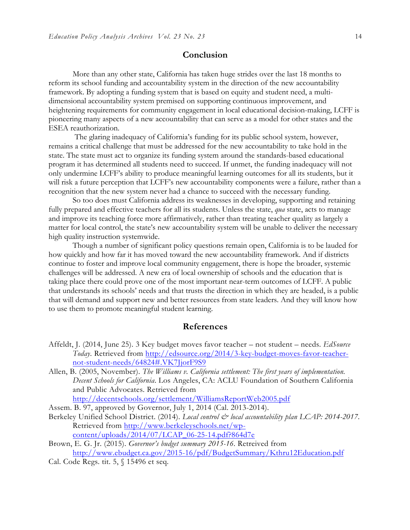## **Conclusion**

More than any other state, California has taken huge strides over the last 18 months to reform its school funding and accountability system in the direction of the new accountability framework. By adopting a funding system that is based on equity and student need, a multidimensional accountability system premised on supporting continuous improvement, and heightening requirements for community engagement in local educational decision-making, LCFF is pioneering many aspects of a new accountability that can serve as a model for other states and the ESEA reauthorization.

The glaring inadequacy of California's funding for its public school system, however, remains a critical challenge that must be addressed for the new accountability to take hold in the state. The state must act to organize its funding system around the standards-based educational program it has determined all students need to succeed. If unmet, the funding inadequacy will not only undermine LCFF's ability to produce meaningful learning outcomes for all its students, but it will risk a future perception that LCFF's new accountability components were a failure, rather than a recognition that the new system never had a chance to succeed with the necessary funding.

So too does must California address its weaknesses in developing, supporting and retaining fully prepared and effective teachers for all its students. Unless the state, *qua* state, acts to manage and improve its teaching force more affirmatively, rather than treating teacher quality as largely a matter for local control, the state's new accountability system will be unable to deliver the necessary high quality instruction systemwide.

Though a number of significant policy questions remain open, California is to be lauded for how quickly and how far it has moved toward the new accountability framework. And if districts continue to foster and improve local community engagement, there is hope the broader, systemic challenges will be addressed. A new era of local ownership of schools and the education that is taking place there could prove one of the most important near-term outcomes of LCFF. A public that understands its schools' needs and that trusts the direction in which they are headed, is a public that will demand and support new and better resources from state leaders. And they will know how to use them to promote meaningful student learning.

## **References**

- Affeldt, J. (2014, June 25). 3 Key budget moves favor teacher not student needs. *EdSource Today*. Retrieved from http://edsource.org/2014/3-key-budget-moves-favor-teachernot-student-needs/64824#.VK7JjorF9S9
- Allen, B. (2005, November). *The Williams v. California settlement: The first years of implementation. Decent Schools for California*. Los Angeles, CA: ACLU Foundation of Southern California and Public Advocates. Retrieved from http://decentschools.org/settlement/WilliamsReportWeb2005.pdf

Assem. B. 97, approved by Governor, July 1, 2014 (Cal. 2013-2014).

- Berkeley Unified School District. (2014). *Local control & local accountability plan LCAP: 2014-2017*. Retrieved from http://www.berkeleyschools.net/wpcontent/uploads/2014/07/LCAP\_06-25-14.pdf?864d7e
- Brown, E. G. Jr. (2015). *Governor's budget summary 2015-16*. Retreived from http://www.ebudget.ca.gov/2015-16/pdf/BudgetSummary/Kthru12Education.pdf
- Cal. Code Regs. tit. 5, § 15496 et seq.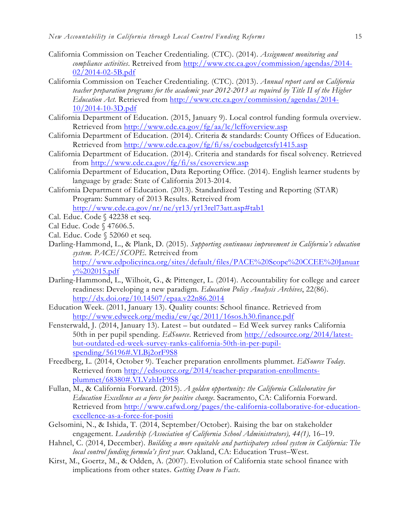- California Commission on Teacher Credentialing. (CTC). (2014). *Assignment monitoring and compliance activities*. Retreived from http://www.ctc.ca.gov/commission/agendas/2014- 02/2014-02-5B.pdf
- California Commission on Teacher Credentialing. (CTC). (2013). *Annual report card on California teacher preparation programs for the academic year 2012-2013 as required by Title II of the Higher Education Act*. Retrieved from http://www.ctc.ca.gov/commission/agendas/2014- 10/2014-10-3D.pdf
- California Department of Education. (2015, January 9). Local control funding formula overview. Retrieved from http://www.cde.ca.gov/fg/aa/lc/lcffoverview.asp
- California Department of Education. (2014). Criteria & standards: County Offices of Education. Retrieved from http://www.cde.ca.gov/fg/fi/ss/coebudgetcsfy1415.asp
- California Department of Education. (2014). Criteria and standards for fiscal solvency. Retrieved from http://www.cde.ca.gov/fg/fi/ss/csoverview.asp
- California Department of Education, Data Reporting Office. (2014). English learner students by language by grade: State of California 2013-2014.
- California Department of Education. (2013). Standardized Testing and Reporting (STAR) Program: Summary of 2013 Results. Retreived from http://www.cde.ca.gov/nr/ne/yr13/yr13rel73att.asp#tab1
- Cal. Educ. Code § 42238 et seq.
- Cal Educ. Code § 47606.5.
- Cal. Educ. Code § 52060 et seq.
- Darling-Hammond, L., & Plank, D. (2015). *Supporting continuous improvement in California's education system. PACE/SCOPE*. Retreived from http://www.edpolicyinca.org/sites/default/files/PACE%20Scope%20CCEE%20Januar y%202015.pdf
- Darling-Hammond, L., Wilhoit, G., & Pittenger, L. (2014). Accountability for college and career readiness: Developing a new paradigm. *Education Policy Analysis Archives*, 22(86). http://dx.doi.org/10.14507/epaa.v22n86.2014
- Education Week. (2011, January 13). Quality counts: School finance. Retrieved from http://www.edweek.org/media/ew/qc/2011/16sos.h30.finance.pdf
- Fensterwald, J. (2014, January 13). Latest but outdated Ed Week survey ranks California 50th in per pupil spending. *EdSource*. Retrieved from http://edsource.org/2014/latestbut-outdated-ed-week-survey-ranks-california-50th-in-per-pupilspending/56196#.VLBj2orF9S8
- Freedberg, L. (2014, October 9). Teacher preparation enrollments plummet. *EdSource Today*. Retrieved from http://edsource.org/2014/teacher-preparation-enrollmentsplummet/68380#.VLVzhIrF9S8
- Fullan, M., & California Forward. (2015). *A golden opportunity: the California Collaborative for Education Excellence as a force for positive change*. Sacramento, CA: California Forward. Retrieved from http://www.cafwd.org/pages/the-california-collaborative-for-educationexcellence-as-a-force-for-positi
- Gelsomini, N., & Ishida, T. (2014, September/October). Raising the bar on stakeholder engagement. *Leadership (Association of California School Administrators), 44(1),* 16–19.
- Hahnel, C. (2014, December). *Building a more equitable and participatory school system in California: The local control funding formula's first year.* Oakland, CA: Education Trust–West.
- Kirst, M., Goertz, M., & Odden, A. (2007). Evolution of California state school finance with implications from other states. *Getting Down to Facts*.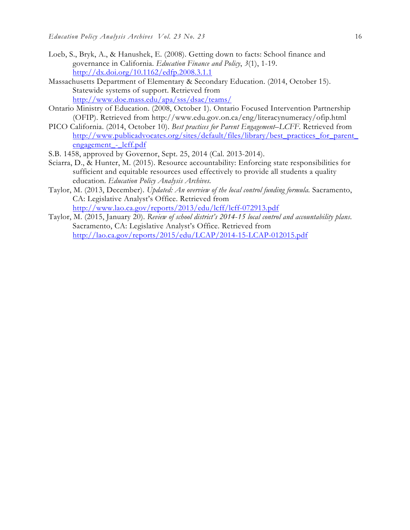- Loeb, S., Bryk, A., & Hanushek, E. (2008). Getting down to facts: School finance and governance in California. *Education Finance and Policy*, *3*(1), 1-19. http://dx.doi.org/10.1162/edfp.2008.3.1.1
- Massachusetts Department of Elementary & Secondary Education. (2014, October 15). Statewide systems of support. Retrieved from http://www.doe.mass.edu/apa/sss/dsac/teams/
- Ontario Ministry of Education. (2008, October 1). Ontario Focused Intervention Partnership (OFIP). Retrieved from http://www.edu.gov.on.ca/eng/literacynumeracy/ofip.html
- PICO California. (2014, October 10). *Best practices for Parent Engagement–LCFF*. Retrieved from http://www.publicadvocates.org/sites/default/files/library/best\_practices\_for\_parent\_ engagement\_-\_lcff.pdf
- S.B. 1458, approved by Governor, Sept. 25, 2014 (Cal. 2013-2014).
- Sciarra, D., & Hunter, M. (2015). Resource accountability: Enforcing state responsibilities for sufficient and equitable resources used effectively to provide all students a quality education. *Education Policy Analysis Archives*.
- Taylor, M. (2013, December). *Updated: An overview of the local control funding formula.* Sacramento, CA: Legislative Analyst's Office. Retrieved from http://www.lao.ca.gov/reports/2013/edu/lcff/lcff-072913.pdf
- Taylor, M. (2015, January 20). *Review of school district's 2014*-*15 local control and accountability plans*. Sacramento, CA: Legislative Analyst's Office. Retrieved from http://lao.ca.gov/reports/2015/edu/LCAP/2014-15-LCAP-012015.pdf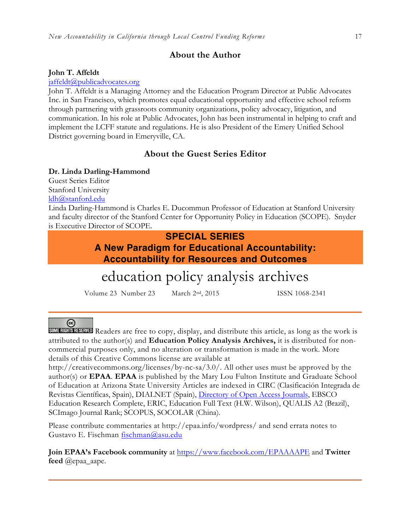# **About the Author**

## **John T. Affeldt**

jaffeldt@publicadvocates.org

John T. Affeldt is a Managing Attorney and the Education Program Director at Public Advocates Inc. in San Francisco, which promotes equal educational opportunity and effective school reform through partnering with grassroots community organizations, policy advocacy, litigation, and communication. In his role at Public Advocates, John has been instrumental in helping to craft and implement the LCFF statute and regulations. He is also President of the Emery Unified School District governing board in Emeryville, CA.

# **About the Guest Series Editor**

## **Dr. Linda Darling-Hammond**

Guest Series Editor Stanford University ldh@stanford.edu

Linda Darling-Hammond is Charles E. Ducommun Professor of Education at Stanford University and faculty director of the Stanford Center for Opportunity Policy in Education (SCOPE). Snyder is Executive Director of SCOPE.

# **SPECIAL SERIES A New Paradigm for Educational Accountability: Accountability for Resources and Outcomes**

# education policy analysis archives

Volume 23 Number 23 March 2<sup>nd</sup>, 2015 **ISSN** 1068-2341

## $(c<sub>c</sub>)$

SOME RIGHTS RESERVED Readers are free to copy, display, and distribute this article, as long as the work is attributed to the author(s) and **Education Policy Analysis Archives,** it is distributed for noncommercial purposes only, and no alteration or transformation is made in the work. More details of this Creative Commons license are available at

http://creativecommons.org/licenses/by-nc-sa/3.0/. All other uses must be approved by the author(s) or **EPAA**. **EPAA** is published by the Mary Lou Fulton Institute and Graduate School of Education at Arizona State University Articles are indexed in CIRC (Clasificación Integrada de Revistas Científicas, Spain), DIALNET (Spain), Directory of Open Access Journals, EBSCO Education Research Complete, ERIC, Education Full Text (H.W. Wilson), QUALIS A2 (Brazil), SCImago Journal Rank; SCOPUS, SOCOLAR (China).

Please contribute commentaries at http://epaa.info/wordpress/ and send errata notes to Gustavo E. Fischman fischman@asu.edu

**Join EPAA's Facebook community** at https://www.facebook.com/EPAAAAPE and **Twitter feed** @epaa\_aape.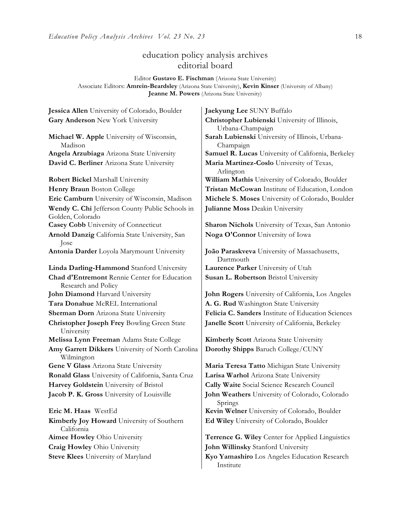# education policy analysis archives editorial board

Editor **Gustavo E. Fischman** (Arizona State University) Associate Editors: **Amrein-Beardsley** (Arizona State University), **Kevin Kinser** (University of Albany) **Jeanne M. Powers** (Arizona State University)

**Gary Anderson** New York University **Christopher Lubienski** University of Illinois, **Michael W. Apple** University of Wisconsin, Madison **David C. Berliner** Arizona State University **Maria Martinez-Coslo** University of Texas, **Wendy C. Chi** Jefferson County Public Schools in Golden, Colorado **Casey Cobb** University of Connecticut **Sharon Nichols** University of Texas, San Antonio **Arnold Danzig** California State University, San Jose **Antonia Darder** Loyola Marymount University **João Paraskveva** University of Massachusetts, **Linda Darling-Hammond** Stanford University **Laurence Parker** University of Utah **Chad d'Entremont** Rennie Center for Education Research and Policy **John Diamond** Harvard University **John Rogers** University of California, Los Angeles **Tara Donahue** McREL International **A. G. Rud** Washington State University **Christopher Joseph Frey** Bowling Green State University **Melissa Lynn Freeman** Adams State College **Kimberly Scott** Arizona State University **Amy Garrett Dikkers** University of North Carolina Wilmington **Gene V Glass** Arizona State University **Maria Teresa Tatto** Michigan State University **Ronald Glass** University of California, Santa Cruz **Larisa Warhol** Arizona State University **Harvey Goldstein** University of Bristol **Cally Waite** Social Science Research Council **Eric M. Haas** WestEd **Kevin Welner** University of Colorado, Boulder **Kimberly Joy Howard** University of Southern California

**Jessica Allen** University of Colorado, Boulder **Jaekyung Lee** SUNY Buffalo Urbana-Champaign **Sarah Lubienski** University of Illinois, Urbana-Champaign **Angela Arzubiaga** Arizona State University **Samuel R. Lucas** University of California, Berkeley Arlington **Robert Bickel Marshall University William Mathis University of Colorado, Boulder Henry Braun** Boston College **Tristan McCowan** Institute of Education, London **Eric Camburn** University of Wisconsin, Madison **Michele S. Moses** University of Colorado, Boulder **Julianne Moss** Deakin University

**Noga O'Connor** University of Iowa

Dartmouth **Susan L. Robertson** Bristol University

**Sherman Dorn** Arizona State University **Felicia C. Sanders** Institute of Education Sciences **Janelle Scott** University of California, Berkeley

**Dorothy Shipps** Baruch College/CUNY

**Jacob P. K. Gross** University of Louisville **John Weathers** University of Colorado, Colorado Springs **Ed Wiley** University of Colorado, Boulder

**Aimee Howley** Ohio University **Terrence G. Wiley** Center for Applied Linguistics **Craig Howley** Ohio University **John Willinsky** Stanford University

**Steve Klees** University of Maryland **Kyo Yamashiro** Los Angeles Education Research Institute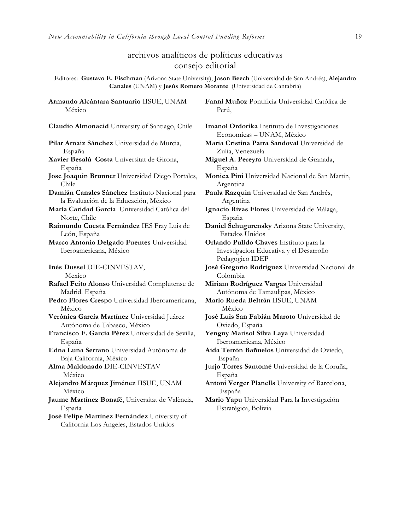# archivos analíticos de políticas educativas consejo editorial

Editores: **Gustavo E. Fischman** (Arizona State University), **Jason Beech** (Universidad de San Andrés), **Alejandro Canales** (UNAM) y **Jesús Romero Morante** (Universidad de Cantabria)

México **Claudio Almonacid** University of Santiago, Chile **Imanol Ordorika** Instituto de Investigaciones **Pilar Arnaiz Sánchez** Universidad de Murcia, España **Xavier Besalú Costa** Universitat de Girona, España **Jose Joaquin Brunner** Universidad Diego Portales, Chile **Damián Canales Sánchez** Instituto Nacional para la Evaluación de la Educación, México **María Caridad García** Universidad Católica del Norte, Chile **Raimundo Cuesta Fernández** IES Fray Luis de León, España **Marco Antonio Delgado Fuentes** Universidad Iberoamericana, México **Inés Dussel** DIE**-**CINVESTAV, Mexico **Rafael Feito Alonso** Universidad Complutense de Madrid. España **Pedro Flores Crespo** Universidad Iberoamericana, México **Verónica García Martínez** Universidad Juárez Autónoma de Tabasco, México **Francisco F. García Pérez** Universidad de Sevilla, España **Edna Luna Serrano** Universidad Autónoma de Baja California, México **Alma Maldonado** DIE-CINVESTAV México **Alejandro Márquez Jiménez** IISUE, UNAM México **Jaume Martínez Bonafé**, Universitat de València, España

**Armando Alcántara Santuario** IISUE, UNAM

**José Felipe Martínez Fernández** University of California Los Angeles, Estados Unidos

**Fanni Muñoz** Pontificia Universidad Católica de Perú,

Economicas – UNAM, México **Maria Cristina Parra Sandoval** Universidad de Zulia, Venezuela **Miguel A. Pereyra** Universidad de Granada, España **Monica Pini** Universidad Nacional de San Martín, Argentina **Paula Razquin** Universidad de San Andrés, Argentina **Ignacio Rivas Flores** Universidad de Málaga, España **Daniel Schugurensky** Arizona State University, Estados Unidos **Orlando Pulido Chaves** Instituto para la Investigacion Educativa y el Desarrollo Pedagogico IDEP **José Gregorio Rodríguez** Universidad Nacional de Colombia **Miriam Rodríguez Vargas** Universidad Autónoma de Tamaulipas, México **Mario Rueda Beltrán** IISUE, UNAM México **José Luis San Fabián Maroto** Universidad de Oviedo, España **Yengny Marisol Silva Laya** Universidad Iberoamericana, México **Aida Terrón Bañuelos** Universidad de Oviedo, España **Jurjo Torres Santomé** Universidad de la Coruña, España **Antoni Verger Planells** University of Barcelona, España **Mario Yapu** Universidad Para la Investigación Estratégica, Bolivia